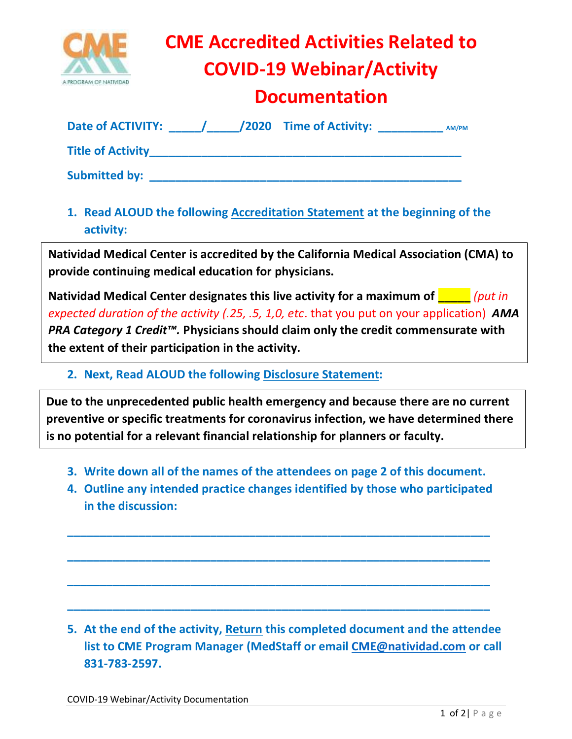

## **CME Accredited Activities Related to COVID-19 Webinar/Activity**

## **Documentation**

| <b>Date of ACTIVITY:</b> |  | /2020 Time of Activity: | AM/PM |  |
|--------------------------|--|-------------------------|-------|--|
| <b>Title of Activity</b> |  |                         |       |  |
| <b>Submitted by:</b>     |  |                         |       |  |

**1. Read ALOUD the following Accreditation Statement at the beginning of the activity:**

**Natividad Medical Center is accredited by the California Medical Association (CMA) to provide continuing medical education for physicians.** 

**Natividad Medical Center designates this live activity for a maximum of <b>Theody** *(put in ) expected duration of the activity (.25, .5, 1,0, etc*. that you put on your application) *AMA PRA Category 1 Credit™.* **Physicians should claim only the credit commensurate with the extent of their participation in the activity.**

**2. Next, Read ALOUD the following Disclosure Statement:**

**Due to the unprecedented public health emergency and because there are no current preventive or specific treatments for coronavirus infection, we have determined there is no potential for a relevant financial relationship for planners or faculty.**

- **3. Write down all of the names of the attendees on page 2 of this document.**
- **4. Outline any intended practice changes identified by those who participated in the discussion:**

**\_\_\_\_\_\_\_\_\_\_\_\_\_\_\_\_\_\_\_\_\_\_\_\_\_\_\_\_\_\_\_\_\_\_\_\_\_\_\_\_\_\_\_\_\_\_\_\_\_\_\_\_\_\_\_\_\_\_\_\_\_\_\_\_\_**

**\_\_\_\_\_\_\_\_\_\_\_\_\_\_\_\_\_\_\_\_\_\_\_\_\_\_\_\_\_\_\_\_\_\_\_\_\_\_\_\_\_\_\_\_\_\_\_\_\_\_\_\_\_\_\_\_\_\_\_\_\_\_\_\_\_**

**\_\_\_\_\_\_\_\_\_\_\_\_\_\_\_\_\_\_\_\_\_\_\_\_\_\_\_\_\_\_\_\_\_\_\_\_\_\_\_\_\_\_\_\_\_\_\_\_\_\_\_\_\_\_\_\_\_\_\_\_\_\_\_\_\_**

**\_\_\_\_\_\_\_\_\_\_\_\_\_\_\_\_\_\_\_\_\_\_\_\_\_\_\_\_\_\_\_\_\_\_\_\_\_\_\_\_\_\_\_\_\_\_\_\_\_\_\_\_\_\_\_\_\_\_\_\_\_\_\_\_\_**

**5. At the end of the activity, Return this completed document and the attendee list to CME Program Manager (MedStaff or email [CME@natividad.com](mailto:CME@natividad.com) or call 831-783-2597.**